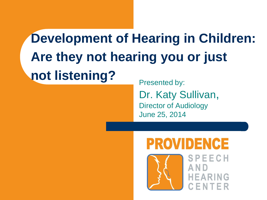# **Development of Hearing in Children: Are they not hearing you or just not listening?** Presented by:

Dr. Katy Sullivan, Director of Audiology June 25, 2014

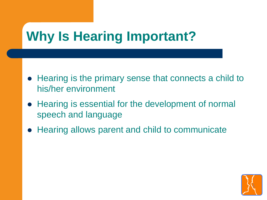# **Why Is Hearing Important?**

- Hearing is the primary sense that connects a child to his/her environment
- Hearing is essential for the development of normal speech and language
- Hearing allows parent and child to communicate

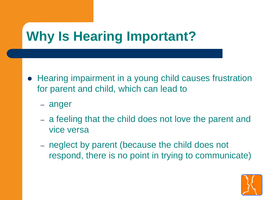# **Why Is Hearing Important?**

- Hearing impairment in a young child causes frustration for parent and child, which can lead to
	- anger
	- a feeling that the child does not love the parent and vice versa
	- neglect by parent (because the child does not respond, there is no point in trying to communicate)

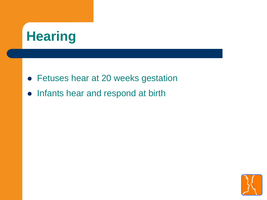# **Hearing**

- Fetuses hear at 20 weeks gestation
- Infants hear and respond at birth

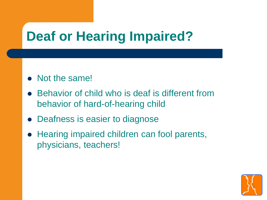# **Deaf or Hearing Impaired?**

- Not the same!
- Behavior of child who is deaf is different from behavior of hard-of-hearing child
- Deafness is easier to diagnose
- Hearing impaired children can fool parents, physicians, teachers!

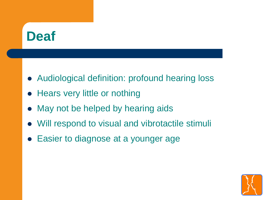### **Deaf**

- Audiological definition: profound hearing loss
- Hears very little or nothing
- May not be helped by hearing aids
- Will respond to visual and vibrotactile stimuli
- Easier to diagnose at a younger age

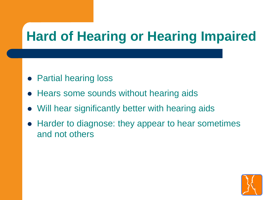# **Hard of Hearing or Hearing Impaired**

- Partial hearing loss
- Hears some sounds without hearing aids
- Will hear significantly better with hearing aids
- Harder to diagnose: they appear to hear sometimes and not others

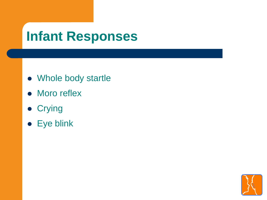### **Infant Responses**

- Whole body startle
- Moro reflex
- **Crying**
- Eye blink

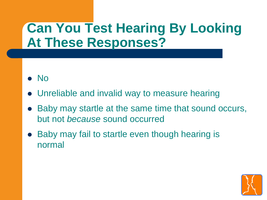### **Can You Test Hearing By Looking At These Responses?**

- $\bullet$  No
- Unreliable and invalid way to measure hearing
- Baby may startle at the same time that sound occurs, but not *because* sound occurred
- Baby may fail to startle even though hearing is normal

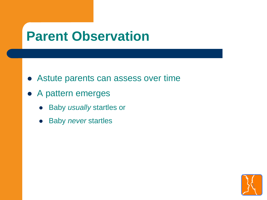#### **Parent Observation**

- Astute parents can assess over time
- A pattern emerges
	- Baby *usually* startles or
	- Baby *never* startles

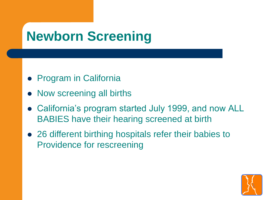# **Newborn Screening**

- **Program in California**
- Now screening all births
- California's program started July 1999, and now ALL BABIES have their hearing screened at birth
- 26 different birthing hospitals refer their babies to Providence for rescreening

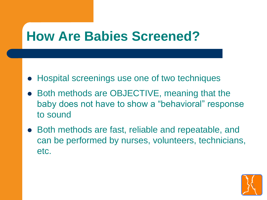### **How Are Babies Screened?**

- Hospital screenings use one of two techniques
- Both methods are OBJECTIVE, meaning that the baby does not have to show a "behavioral" response to sound
- Both methods are fast, reliable and repeatable, and can be performed by nurses, volunteers, technicians, etc.

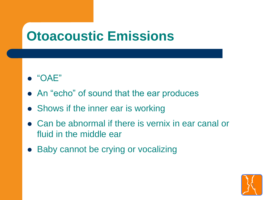### **Otoacoustic Emissions**

- $\bullet$  "OAE"
- An "echo" of sound that the ear produces
- Shows if the inner ear is working
- Can be abnormal if there is vernix in ear canal or fluid in the middle ear
- Baby cannot be crying or vocalizing

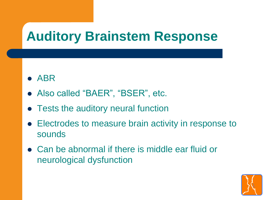## **Auditory Brainstem Response**

- ABR
- Also called "BAER", "BSER", etc.
- Tests the auditory neural function
- Electrodes to measure brain activity in response to sounds
- Can be abnormal if there is middle ear fluid or neurological dysfunction

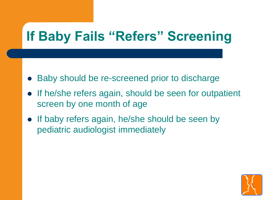# **If Baby Fails "Refers" Screening**

- Baby should be re-screened prior to discharge
- If he/she refers again, should be seen for outpatient screen by one month of age
- If baby refers again, he/she should be seen by pediatric audiologist immediately

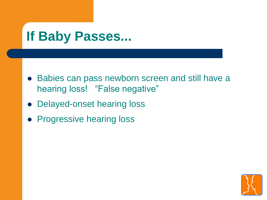### **If Baby Passes...**

- Babies can pass newborn screen and still have a hearing loss! "False negative"
- Delayed-onset hearing loss
- Progressive hearing loss

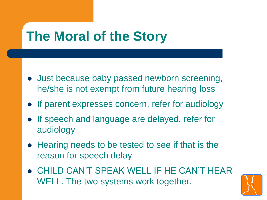# **The Moral of the Story**

- Just because baby passed newborn screening, he/she is not exempt from future hearing loss
- If parent expresses concern, refer for audiology
- If speech and language are delayed, refer for audiology
- Hearing needs to be tested to see if that is the reason for speech delay
- CHILD CAN'T SPEAK WELL IF HE CAN'T HEAR WELL. The two systems work together.

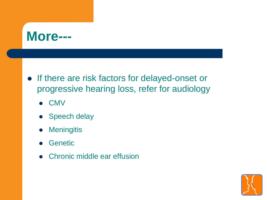

- If there are risk factors for delayed-onset or progressive hearing loss, refer for audiology
	- CMV
	- Speech delay
	- **•** Meningitis
	- **Genetic**
	- Chronic middle ear effusion

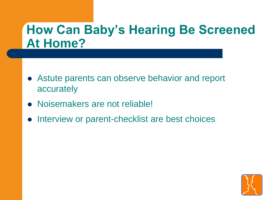#### **How Can Baby's Hearing Be Screened At Home?**

- Astute parents can observe behavior and report accurately
- Noisemakers are not reliable!
- Interview or parent-checklist are best choices

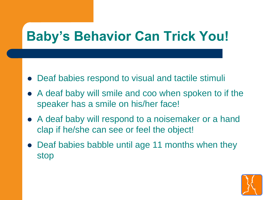# **Baby's Behavior Can Trick You!**

- Deaf babies respond to visual and tactile stimuli
- A deaf baby will smile and coo when spoken to if the speaker has a smile on his/her face!
- A deaf baby will respond to a noisemaker or a hand clap if he/she can see or feel the object!
- Deaf babies babble until age 11 months when they stop

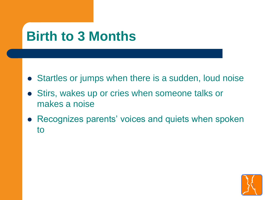## **Birth to 3 Months**

- Startles or jumps when there is a sudden, loud noise
- Stirs, wakes up or cries when someone talks or makes a noise
- Recognizes parents' voices and quiets when spoken to

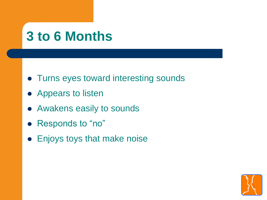### **3 to 6 Months**

- Turns eyes toward interesting sounds
- Appears to listen
- Awakens easily to sounds
- Responds to "no"
- Enjoys toys that make noise

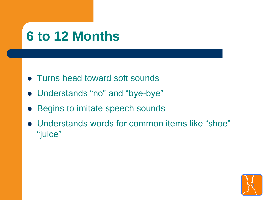### **6 to 12 Months**

- Turns head toward soft sounds
- Understands "no" and "bye-bye"
- Begins to imitate speech sounds
- Understands words for common items like "shoe" "juice"

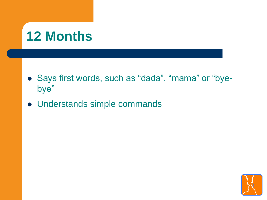# **12 Months**

- Says first words, such as "dada", "mama" or "byebye"
- Understands simple commands

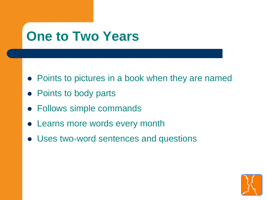### **One to Two Years**

- Points to pictures in a book when they are named
- Points to body parts
- Follows simple commands
- Learns more words every month
- Uses two-word sentences and questions

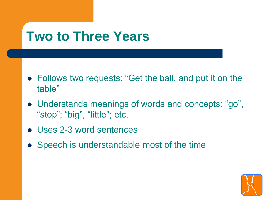#### **Two to Three Years**

- Follows two requests: "Get the ball, and put it on the table"
- Understands meanings of words and concepts: "go", "stop"; "big", "little"; etc.
- Uses 2-3 word sentences
- Speech is understandable most of the time

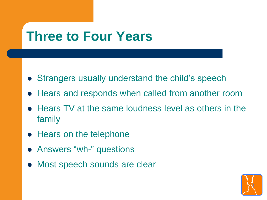### **Three to Four Years**

- Strangers usually understand the child's speech
- Hears and responds when called from another room
- Hears TV at the same loudness level as others in the family
- Hears on the telephone
- Answers "wh-" questions
- Most speech sounds are clear

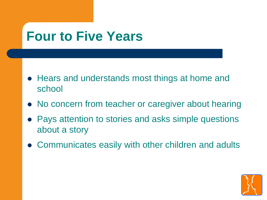### **Four to Five Years**

- Hears and understands most things at home and school
- No concern from teacher or caregiver about hearing
- Pays attention to stories and asks simple questions about a story
- Communicates easily with other children and adults

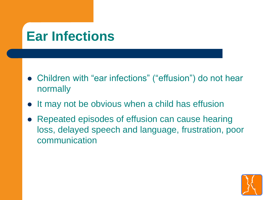### **Ear Infections**

- Children with "ear infections" ("effusion") do not hear normally
- It may not be obvious when a child has effusion
- Repeated episodes of effusion can cause hearing loss, delayed speech and language, frustration, poor communication

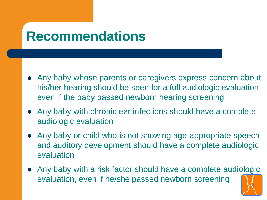#### **Recommendations**

- Any baby whose parents or caregivers express concern about his/her hearing should be seen for a full audiologic evaluation, even if the baby passed newborn hearing screening
- Any baby with chronic ear infections should have a complete audiologic evaluation
- Any baby or child who is not showing age-appropriate speech and auditory development should have a complete audiologic evaluation
- Any baby with a risk factor should have a complete audiologic evaluation, even if he/she passed newborn screening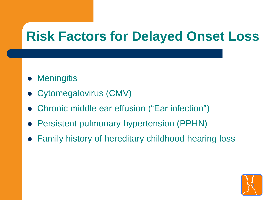# **Risk Factors for Delayed Onset Loss**

- Meningitis
- Cytomegalovirus (CMV)
- Chronic middle ear effusion ("Ear infection")
- Persistent pulmonary hypertension (PPHN)
- Family history of hereditary childhood hearing loss

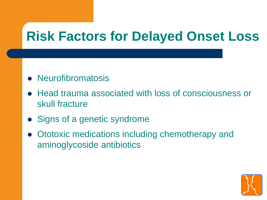# **Risk Factors for Delayed Onset Loss**

- Neurofibromatosis
- Head trauma associated with loss of consciousness or skull fracture
- Signs of a genetic syndrome
- Ototoxic medications including chemotherapy and aminoglycoside antibiotics